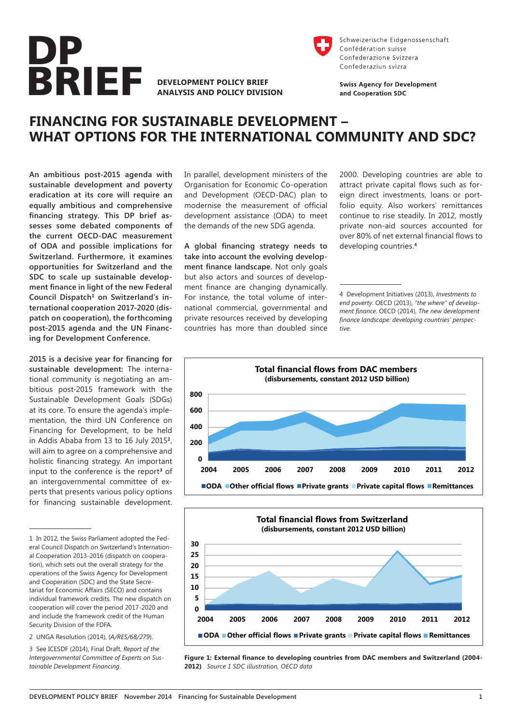

**DEVELOPMENT POLICY BRIEF ANALYSIS AND POLICY DIVISION**



Schweizerische Eidgenossenschaft Confédération suisse Confederazione Svizzera Confederaziun svizra

**Swiss Agency for Development** and Cooperation SDC

# **FINANCING FOR SUSTAINABLE DEVELOPMENT – WHAT OPTIONS FOR THE INTERNATIONAL COMMUNITY AND SDC?**

**An ambitious post-2015 agenda with sustainable development and poverty eradication at its core will require an equally ambitious and comprehensive financing strategy. This DP brief assesses some debated components of the current OECD-DAC measurement of ODA and possible implications for Switzerland. Furthermore, it examines opportunities for Switzerland and the SDC to scale up sustainable development finance in light of the new Federal Council Dispatch1 on Switzerland's international cooperation 2017-2020 (dispatch on cooperation), the forthcoming post-2015 agenda and the UN Financing for Development Conference.**

**2015 is a decisive year for financing for sustainable development:** The international community is negotiating an ambitious post-2015 framework with the Sustainable Development Goals (SDGs) at its core. To ensure the agenda's implementation, the third UN Conference on Financing for Development, to be held in Addis Ababa from 13 to 16 July 2015**2**, will aim to agree on a comprehensive and holistic financing strategy. An important input to the conference is the report**3** of an intergovernmental committee of experts that presents various policy options for financing sustainable development.

2 UNGA Resolution (2014), (*[A/RES/68/279](http://www.un.org/en/ga/search/view_doc.asp?symbol=A/RES/68/279)*).

In parallel, development ministers of the Organisation for Economic Co-operation and Development (OECD-DAC) plan to modernise the measurement of official development assistance (ODA) to meet the demands of the new SDG agenda.

**A global financing strategy needs to take into account the evolving development finance landscape.** Not only goals but also actors and sources of development finance are changing dynamically. For instance, the total volume of international commercial, governmental and private resources received by developing countries has more than doubled since 2000. Developing countries are able to attract private capital flows such as foreign direct investments, loans or portfolio equity. Also workers' remittances continue to rise steadily. In 2012, mostly private non-aid sources accounted for over 80% of net external financial flows to developing countries.**<sup>4</sup>**

4 Development Initiatives (2013), *[Investments to](http://devinit.org/wp-content/uploads/2013/09/Investments_to_End_Poverty_full_report.pdf)  [end poverty](http://devinit.org/wp-content/uploads/2013/09/Investments_to_End_Poverty_full_report.pdf)*. OECD (2013), *["the where" of develop](http://www.oecd.org/dac/externalfinancingfordevelopment/documentupload/ERG%20S2%20Jan%202014%20-%20The%20Where%20of%20Development%20Finance%20-%20Towards%20Better%20Targetting%20DCD-DAC-2013-29-ENG.pdf)[ment finance](http://www.oecd.org/dac/externalfinancingfordevelopment/documentupload/ERG%20S2%20Jan%202014%20-%20The%20Where%20of%20Development%20Finance%20-%20Towards%20Better%20Targetting%20DCD-DAC-2013-29-ENG.pdf)*. OECD (2014), *[The new development](http://www.oecd.org/dac/aid-architecture/The%20New%20Development%20Finance%20Landscape_19%20June%202014.pdf)  [finance landscape: developing countries' perspec](http://www.oecd.org/dac/aid-architecture/The%20New%20Development%20Finance%20Landscape_19%20June%202014.pdf)[tive](http://www.oecd.org/dac/aid-architecture/The%20New%20Development%20Finance%20Landscape_19%20June%202014.pdf)*.





**Figure 1: External finance to developing countries from DAC members and Switzerland (2004- 2012)** *Source 1 SDC illustration, OECD data*

<sup>1</sup> In 2012, the Swiss Parliament adopted the Federal Council Dispatch on Switzerland's International Cooperation 2013-2016 (dispatch on cooperation), which sets out the overall strategy for the operations of the Swiss Agency for Development and Cooperation (SDC) and the State Secretariat for Economic Affairs (SECO) and contains individual framework credits. The new dispatch on cooperation will cover the period 2017-2020 and and include the framework credit of the Human Security Division of the FDFA.

<sup>3</sup> See ICESDF (2014), Final Draft, *[Report of the](http://sustainabledevelopment.un.org/content/documents/4588FINAL%20REPORT%20ICESDF.pdf)  [Intergovernmental Committee of Experts on Sus](http://sustainabledevelopment.un.org/content/documents/4588FINAL%20REPORT%20ICESDF.pdf)[tainable Development Financing](http://sustainabledevelopment.un.org/content/documents/4588FINAL%20REPORT%20ICESDF.pdf)*.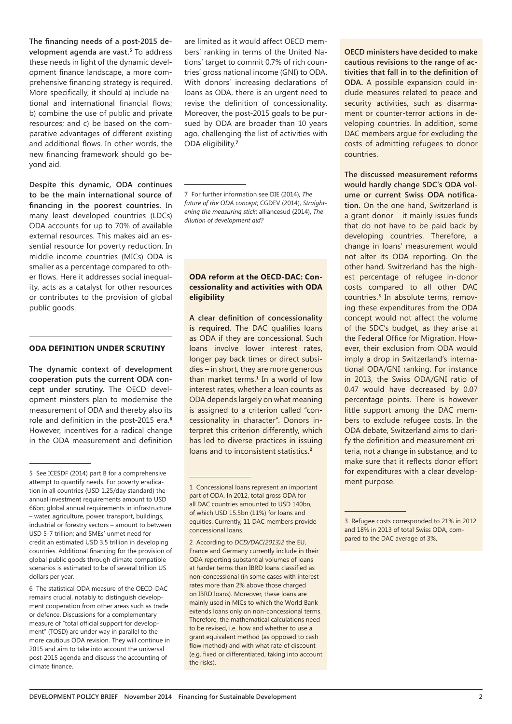**The financing needs of a post-2015 development agenda are vast.5** To address these needs in light of the dynamic development finance landscape, a more comprehensive financing strategy is required. More specifically, it should a) include national and international financial flows; b) combine the use of public and private resources; and c) be based on the comparative advantages of different existing and additional flows. In other words, the new financing framework should go beyond aid.

**Despite this dynamic, ODA continues to be the main international source of financing in the poorest countries.** In many least developed countries (LDCs) ODA accounts for up to 70% of available external resources. This makes aid an essential resource for poverty reduction. In middle income countries (MICs) ODA is smaller as a percentage compared to other flows. Here it addresses social inequality, acts as a catalyst for other resources or contributes to the provision of global public goods.

#### **ODA DEFINITION UNDER SCRUTINY**

**The dynamic context of development cooperation puts the current ODA concept under scrutiny.** The OECD development minsters plan to modernise the measurement of ODA and thereby also its role and definition in the post-2015 era.**<sup>6</sup>** However, incentives for a radical change in the ODA measurement and definition

6 The statistical ODA measure of the OECD-DAC remains crucial, notably to distinguish development cooperation from other areas such as trade or defence. Discussions for a complementary measure of "total official support for development" (TOSD) are under way in parallel to the more cautious ODA revision. They will continue in 2015 and aim to take into account the universal post-2015 agenda and discuss the accounting of climate finance.

are limited as it would affect OECD members' ranking in terms of the United Nations' target to commit 0.7% of rich countries' gross national income (GNI) to ODA. With donors' increasing declarations of loans as ODA, there is an urgent need to revise the definition of concessionality. Moreover, the post-2015 goals to be pursued by ODA are broader than 10 years ago, challenging the list of activities with ODA eligibility.**<sup>7</sup>**

7 For further information see DIE (2014), *[The](http://www.die-gdi.de/uploads/media/BP_8.2014.pdf)  [future of the ODA concept](http://www.die-gdi.de/uploads/media/BP_8.2014.pdf)*; CGDEV (2014), *[Straight](http://www.cgdev.org/sites/default/files/straightening-measuring-stick-redefining-oda_0.pdf)[ening the measuring stick](http://www.cgdev.org/sites/default/files/straightening-measuring-stick-redefining-oda_0.pdf)*; alliancesud (2014), *[The](http://www.alliancesud.ch/en/publications/downloads/alliancesud_news_no_78.pdf)  [dilution of development aid?](http://www.alliancesud.ch/en/publications/downloads/alliancesud_news_no_78.pdf)*

# **ODA reform at the OECD-DAC: Concessionality and activities with ODA eligibility**

**A clear definition of concessionality is required.** The DAC qualifies loans as ODA if they are concessional. Such loans involve lower interest rates, longer pay back times or direct subsidies – in short, they are more generous than market terms.**1** In a world of low interest rates, whether a loan counts as ODA depends largely on what meaning is assigned to a criterion called "concessionality in character". Donors interpret this criterion differently, which has led to diverse practices in issuing loans and to inconsistent statistics.**<sup>2</sup>**

2 According to *[DCD/DAC\(2013\)2](http://www.oecd.org/officialdocuments/publicdisplaydocumentpdf/?cote=DCD/DAC(2013)2&docLanguage=En)* the EU, France and Germany currently include in their ODA reporting substantial volumes of loans at harder terms than IBRD loans classified as non-concessional (in some cases with interest rates more than 2% above those charged on IBRD loans). Moreover, these loans are mainly used in MICs to which the World Bank extends loans only on non-concessional terms. Therefore, the mathematical calculations need to be revised, i.e. how and whether to use a grant equivalent method (as opposed to cash flow method) and with what rate of discount (e.g. fixed or differentiated, taking into account the risks).

**OECD ministers have decided to make cautious revisions to the range of activities that fall in to the definition of ODA.** A possible expansion could include measures related to peace and security activities, such as disarmament or counter-terror actions in developing countries. In addition, some DAC members argue for excluding the costs of admitting refugees to donor countries.

**The discussed measurement reforms would hardly change SDC's ODA volume or current Swiss ODA notification.** On the one hand, Switzerland is a grant donor – it mainly issues funds that do not have to be paid back by developing countries. Therefore, a change in loans' measurement would not alter its ODA reporting. On the other hand, Switzerland has the highest percentage of refugee in-donor costs compared to all other DAC countries.**3** In absolute terms, removing these expenditures from the ODA concept would not affect the volume of the SDC's budget, as they arise at the Federal Office for Migration. However, their exclusion from ODA would imply a drop in Switzerland's international ODA/GNI ranking. For instance in 2013, the Swiss ODA/GNI ratio of 0.47 would have decreased by 0.07 percentage points. There is however little support among the DAC members to exclude refugee costs. In the ODA debate, Switzerland aims to clarify the definition and measurement criteria, not a change in substance, and to make sure that it reflects donor effort for expenditures with a clear development purpose.

<sup>5</sup> See ICESDF (2014) part B for a comprehensive attempt to quantify needs. For poverty eradication in all countries (USD 1.25/day standard) the annual investment requirements amount to USD 66bn; global annual requirements in infrastructure – water, agriculture, power, transport, buildings, industrial or forestry sectors – amount to between USD 5-7 trillion; and SMEs' unmet need for credit an estimated USD 3.5 trillion in developing countries. Additional financing for the provision of global public goods through climate compatible scenarios is estimated to be of several trillion US dollars per year.

<sup>1</sup> Concessional loans represent an important part of ODA. In 2012, total gross ODA for all DAC countries amounted to USD 140bn, of which USD 15.5bn (11%) for loans and equities. Currently, 11 DAC members provide concessional loans.

<sup>3</sup> Refugee costs corresponded to 21% in 2012 and 18% in 2013 of total Swiss ODA, compared to the DAC average of 3%.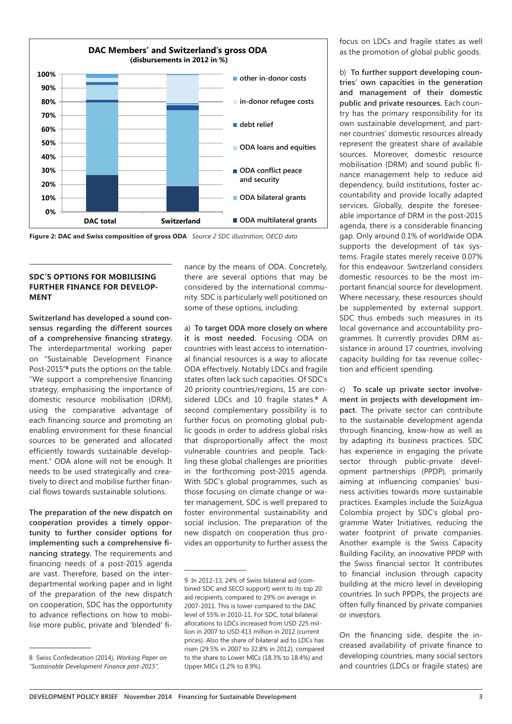

**Figure 2: DAC and Swiss composition of gross ODA** *Source 2 SDC illustration, OECD data*

## **SDC'S OPTIONS FOR MOBILISING FURTHER FINANCE FOR DEVELOP-MENT**

**Switzerland has developed a sound consensus regarding the different sources of a comprehensive financing strategy.**  The interdepartmental working paper on "Sustainable Development Finance Post-2015"**8** puts the options on the table. "We support a comprehensive financing strategy, emphasising the importance of domestic resource mobilisation (DRM), using the comparative advantage of each financing source and promoting an enabling environment for these financial sources to be generated and allocated efficiently towards sustainable development." ODA alone will not be enough. It needs to be used strategically and creatively to direct and mobilise further financial flows towards sustainable solutions.

**The preparation of the new dispatch on cooperation provides a timely opportunity to further consider options for implementing such a comprehensive financing strategy.** The requirements and financing needs of a post-2015 agenda are vast. Therefore, based on the interdepartmental working paper and in light of the preparation of the new dispatch on cooperation, SDC has the opportunity to advance reflections on how to mobilise more public, private and 'blended' finance by the means of ODA. Concretely, there are several options that may be considered by the international community. SDC is particularly well positioned on some of these options, including:

a) **To target ODA more closely on where it is most needed.** Focusing ODA on countries with least access to international financial resources is a way to allocate ODA effectively. Notably LDCs and fragile states often lack such capacities. Of SDC's 20 priority countries/regions, 15 are considered LDCs and 10 fragile states.**9** A second complementary possibility is to further focus on promoting global public goods in order to address global risks that disproportionally affect the most vulnerable countries and people. Tackling these global challenges are priorities in the forthcoming post-2015 agenda. With SDC's global programmes, such as those focusing on climate change or water management, SDC is well prepared to foster environmental sustainability and social inclusion. The preparation of the new dispatch on cooperation thus provides an opportunity to further assess the

focus on LDCs and fragile states as well as the promotion of global public goods.

b) **To further support developing countries' own capacities in the generation and management of their domestic public and private resources.** Each country has the primary responsibility for its own sustainable development, and partner countries' domestic resources already represent the greatest share of available sources. Moreover, domestic resource mobilisation (DRM) and sound public finance management help to reduce aid dependency, build institutions, foster accountability and provide locally adapted services. Globally, despite the foreseeable importance of DRM in the post-2015 agenda, there is a considerable financing gap. Only around 0.1% of worldwide ODA supports the development of tax systems. Fragile states merely receive 0.07% for this endeavour. Switzerland considers domestic resources to be the most important financial source for development. Where necessary, these resources should be supplemented by external support. SDC thus embeds such measures in its local governance and accountability programmes. It currently provides DRM assistance in around 17 countries, involving capacity building for tax revenue collection and efficient spending.

c) **To scale up private sector involvement in projects with development impact.** The private sector can contribute to the sustainable development agenda through financing, know-how as well as by adapting its business practices. SDC has experience in engaging the private sector through public-private development partnerships (PPDP), primarily aiming at influencing companies' business activities towards more sustainable practices. Examples include the SuizAgua Colombia project by SDC's global programme Water Initiatives, reducing the water footprint of private companies. Another example is the Swiss Capacity Building Facility, an innovative PPDP with the Swiss financial sector. It contributes to financial inclusion through capacity building at the micro level in developing countries. In such PPDPs, the projects are often fully financed by private companies or investors.

On the financing side, despite the increased availability of private finance to developing countries, many social sectors and countries (LDCs or fragile states) are

<sup>8</sup> Swiss Confederation (2014), *[Working Paper on](http://www.eda.admin.ch/content/dam/post2015/de/documents/topics/Working_Paper_on_Sustainable_Development_Finance_post-2015.pdf)  ["Sustainable Development Finance post-2015".](http://www.eda.admin.ch/content/dam/post2015/de/documents/topics/Working_Paper_on_Sustainable_Development_Finance_post-2015.pdf)*

<sup>9</sup> In 2012-13, 24% of Swiss bilateral aid (combined SDC and SECO support) went to its top 20 aid recipients, compared to 29% on average in 2007-2011. This is lower compared to the DAC level of 55% in 2010-11. For SDC, total bilateral allocations to LDCs increased from USD 225 million in 2007 to USD 413 million in 2012 (current prices). Also the share of bilateral aid to LDCs has risen (29.5% in 2007 to 32.8% in 2012), compared to the share to Lower MICs (18.3% to 18.4%) and Upper MICs (1.2% to 8.9%).